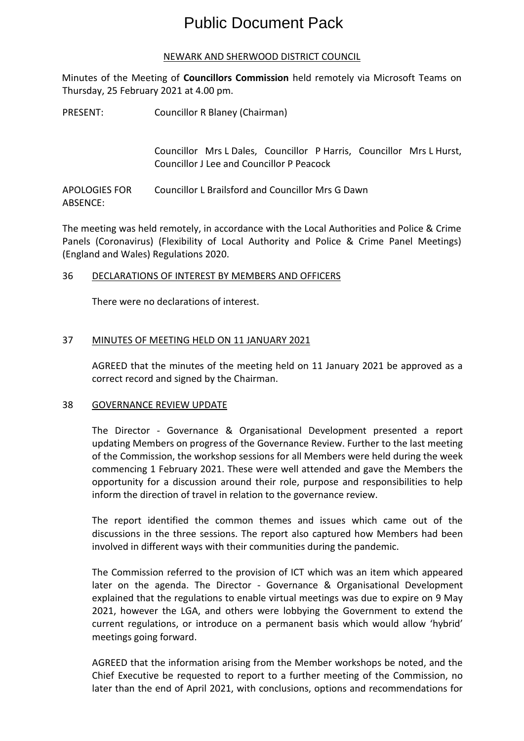# Public Document Pack

## NEWARK AND SHERWOOD DISTRICT COUNCIL

Minutes of the Meeting of **Councillors Commission** held remotely via Microsoft Teams on Thursday, 25 February 2021 at 4.00 pm.

PRESENT: Councillor R Blaney (Chairman)

Councillor Mrs L Dales, Councillor P Harris, Councillor Mrs L Hurst, Councillor J Lee and Councillor P Peacock

APOLOGIES FOR ABSENCE: Councillor L Brailsford and Councillor Mrs G Dawn

The meeting was held remotely, in accordance with the Local Authorities and Police & Crime Panels (Coronavirus) (Flexibility of Local Authority and Police & Crime Panel Meetings) (England and Wales) Regulations 2020.

## 36 DECLARATIONS OF INTEREST BY MEMBERS AND OFFICERS

There were no declarations of interest.

## 37 MINUTES OF MEETING HELD ON 11 JANUARY 2021

AGREED that the minutes of the meeting held on 11 January 2021 be approved as a correct record and signed by the Chairman.

#### 38 GOVERNANCE REVIEW UPDATE

The Director - Governance & Organisational Development presented a report updating Members on progress of the Governance Review. Further to the last meeting of the Commission, the workshop sessions for all Members were held during the week commencing 1 February 2021. These were well attended and gave the Members the opportunity for a discussion around their role, purpose and responsibilities to help inform the direction of travel in relation to the governance review.

The report identified the common themes and issues which came out of the discussions in the three sessions. The report also captured how Members had been involved in different ways with their communities during the pandemic.

The Commission referred to the provision of ICT which was an item which appeared later on the agenda. The Director - Governance & Organisational Development explained that the regulations to enable virtual meetings was due to expire on 9 May 2021, however the LGA, and others were lobbying the Government to extend the current regulations, or introduce on a permanent basis which would allow 'hybrid' meetings going forward.

AGREED that the information arising from the Member workshops be noted, and the Chief Executive be requested to report to a further meeting of the Commission, no later than the end of April 2021, with conclusions, options and recommendations for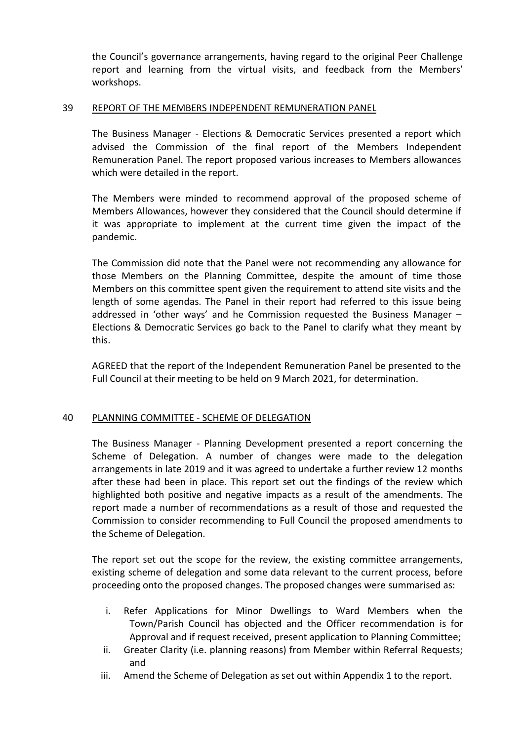the Council's governance arrangements, having regard to the original Peer Challenge report and learning from the virtual visits, and feedback from the Members' workshops.

### 39 REPORT OF THE MEMBERS INDEPENDENT REMUNERATION PANEL

The Business Manager - Elections & Democratic Services presented a report which advised the Commission of the final report of the Members Independent Remuneration Panel. The report proposed various increases to Members allowances which were detailed in the report.

The Members were minded to recommend approval of the proposed scheme of Members Allowances, however they considered that the Council should determine if it was appropriate to implement at the current time given the impact of the pandemic.

The Commission did note that the Panel were not recommending any allowance for those Members on the Planning Committee, despite the amount of time those Members on this committee spent given the requirement to attend site visits and the length of some agendas. The Panel in their report had referred to this issue being addressed in 'other ways' and he Commission requested the Business Manager – Elections & Democratic Services go back to the Panel to clarify what they meant by this.

AGREED that the report of the Independent Remuneration Panel be presented to the Full Council at their meeting to be held on 9 March 2021, for determination.

## 40 PLANNING COMMITTEE - SCHEME OF DELEGATION

The Business Manager - Planning Development presented a report concerning the Scheme of Delegation. A number of changes were made to the delegation arrangements in late 2019 and it was agreed to undertake a further review 12 months after these had been in place. This report set out the findings of the review which highlighted both positive and negative impacts as a result of the amendments. The report made a number of recommendations as a result of those and requested the Commission to consider recommending to Full Council the proposed amendments to the Scheme of Delegation.

The report set out the scope for the review, the existing committee arrangements, existing scheme of delegation and some data relevant to the current process, before proceeding onto the proposed changes. The proposed changes were summarised as:

- i. Refer Applications for Minor Dwellings to Ward Members when the Town/Parish Council has objected and the Officer recommendation is for Approval and if request received, present application to Planning Committee;
- ii. Greater Clarity (i.e. planning reasons) from Member within Referral Requests; and
- iii. Amend the Scheme of Delegation as set out within Appendix 1 to the report.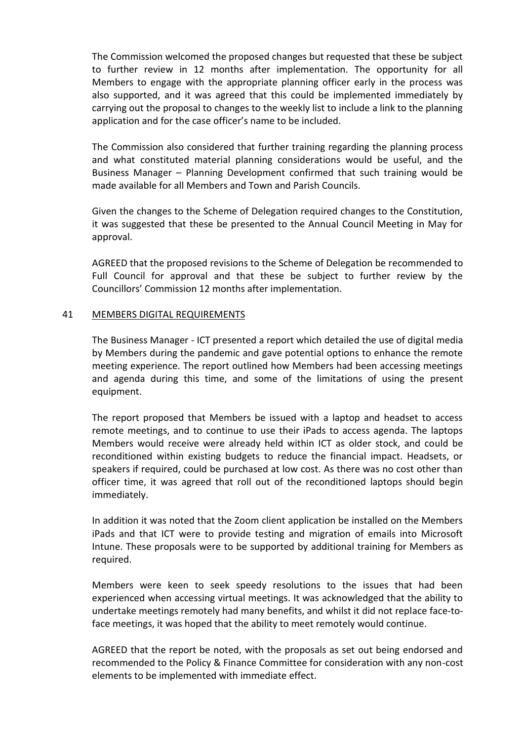The Commission welcomed the proposed changes but requested that these be subject to further review in 12 months after implementation. The opportunity for all Members to engage with the appropriate planning officer early in the process was also supported, and it was agreed that this could be implemented immediately by carrying out the proposal to changes to the weekly list to include a link to the planning application and for the case officer's name to be included.

The Commission also considered that further training regarding the planning process and what constituted material planning considerations would be useful, and the Business Manager – Planning Development confirmed that such training would be made available for all Members and Town and Parish Councils.

Given the changes to the Scheme of Delegation required changes to the Constitution, it was suggested that these be presented to the Annual Council Meeting in May for approval.

AGREED that the proposed revisions to the Scheme of Delegation be recommended to Full Council for approval and that these be subject to further review by the Councillors' Commission 12 months after implementation.

## 41 MEMBERS DIGITAL REQUIREMENTS

The Business Manager - ICT presented a report which detailed the use of digital media by Members during the pandemic and gave potential options to enhance the remote meeting experience. The report outlined how Members had been accessing meetings and agenda during this time, and some of the limitations of using the present equipment.

The report proposed that Members be issued with a laptop and headset to access remote meetings, and to continue to use their iPads to access agenda. The laptops Members would receive were already held within ICT as older stock, and could be reconditioned within existing budgets to reduce the financial impact. Headsets, or speakers if required, could be purchased at low cost. As there was no cost other than officer time, it was agreed that roll out of the reconditioned laptops should begin immediately.

In addition it was noted that the Zoom client application be installed on the Members iPads and that ICT were to provide testing and migration of emails into Microsoft Intune. These proposals were to be supported by additional training for Members as required.

Members were keen to seek speedy resolutions to the issues that had been experienced when accessing virtual meetings. It was acknowledged that the ability to undertake meetings remotely had many benefits, and whilst it did not replace face-toface meetings, it was hoped that the ability to meet remotely would continue.

AGREED that the report be noted, with the proposals as set out being endorsed and recommended to the Policy & Finance Committee for consideration with any non-cost elements to be implemented with immediate effect.